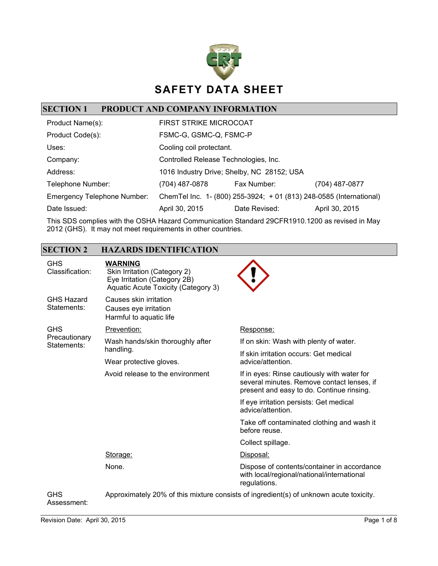

# **SECTION 1 PRODUCT AND COMPANY INFORMATION**

| Product Name(s):                   | <b>FIRST STRIKE MICROCOAT</b>         |                                                                     |                |
|------------------------------------|---------------------------------------|---------------------------------------------------------------------|----------------|
| Product Code(s):                   | FSMC-G, GSMC-Q, FSMC-P                |                                                                     |                |
| Uses:                              | Cooling coil protectant.              |                                                                     |                |
| Company:                           | Controlled Release Technologies, Inc. |                                                                     |                |
| Address:                           |                                       | 1016 Industry Drive; Shelby, NC 28152; USA                          |                |
| Telephone Number:                  | (704) 487-0878                        | Fax Number:                                                         | (704) 487-0877 |
| <b>Emergency Telephone Number:</b> |                                       | ChemTel Inc. 1- (800) 255-3924; + 01 (813) 248-0585 (International) |                |
| Date Issued:                       | April 30, 2015                        | Date Revised:                                                       | April 30, 2015 |

This SDS complies with the OSHA Hazard Communication Standard 29CFR1910.1200 as revised in May 2012 (GHS). It may not meet requirements in other countries.

### **SECTION 2 HAZARDS IDENTIFICATION**

| GHS<br>Classification:           | <b>WARNING</b><br>Skin Irritation (Category 2)<br>Eye Irritation (Category 2B)<br>Aquatic Acute Toxicity (Category 3) |                                                                                                                                        |
|----------------------------------|-----------------------------------------------------------------------------------------------------------------------|----------------------------------------------------------------------------------------------------------------------------------------|
| <b>GHS Hazard</b><br>Statements: | Causes skin irritation<br>Causes eye irritation<br>Harmful to aquatic life                                            |                                                                                                                                        |
| <b>GHS</b>                       | Prevention:                                                                                                           | Response:                                                                                                                              |
| Precautionary<br>Statements:     | Wash hands/skin thoroughly after                                                                                      | If on skin: Wash with plenty of water.                                                                                                 |
|                                  | handling.                                                                                                             | If skin irritation occurs: Get medical                                                                                                 |
|                                  | Wear protective gloves.                                                                                               | advice/attention.                                                                                                                      |
|                                  | Avoid release to the environment                                                                                      | If in eyes: Rinse cautiously with water for<br>several minutes. Remove contact lenses, if<br>present and easy to do. Continue rinsing. |
|                                  |                                                                                                                       | If eye irritation persists: Get medical<br>advice/attention.                                                                           |
|                                  |                                                                                                                       | Take off contaminated clothing and wash it<br>before reuse.                                                                            |
|                                  |                                                                                                                       | Collect spillage.                                                                                                                      |
|                                  | Storage:                                                                                                              | Disposal:                                                                                                                              |
|                                  | None.                                                                                                                 | Dispose of contents/container in accordance<br>with local/regional/national/international<br>regulations.                              |
| GHS                              | Approximately 20% of this mixture consists of ingredient(s) of unknown acute toxicity.                                |                                                                                                                                        |

Assessment: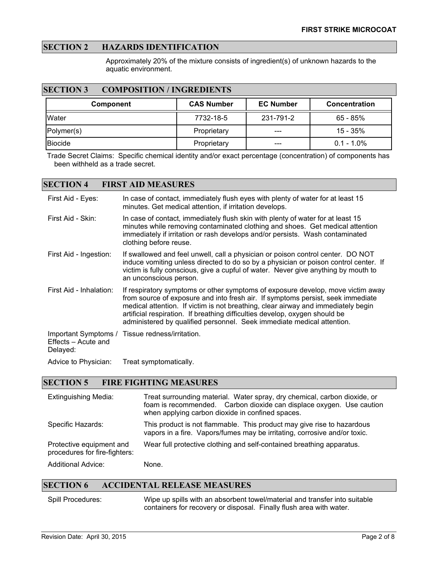### **SECTION 2 HAZARDS IDENTIFICATION**

Approximately 20% of the mixture consists of ingredient(s) of unknown hazards to the aquatic environment.

#### **SECTION 3 COMPOSITION / INGREDIENTS**

| Component    | <b>CAS Number</b> | <b>EC Number</b> | <b>Concentration</b> |
|--------------|-------------------|------------------|----------------------|
| <b>Water</b> | 7732-18-5         | 231-791-2        | $65 - 85%$           |
| Polymer(s)   | Proprietary       | ---              | $15 - 35\%$          |
| Biocide      | Proprietary       | ---              | $0.1 - 1.0\%$        |

Trade Secret Claims: Specific chemical identity and/or exact percentage (concentration) of components has been withheld as a trade secret.

#### **SECTION 4 FIRST AID MEASURES**

| First Aid - Eyes:               | In case of contact, immediately flush eyes with plenty of water for at least 15<br>minutes. Get medical attention, if irritation develops.                                                                                                                                                                                                                                                                       |
|---------------------------------|------------------------------------------------------------------------------------------------------------------------------------------------------------------------------------------------------------------------------------------------------------------------------------------------------------------------------------------------------------------------------------------------------------------|
| First Aid - Skin:               | In case of contact, immediately flush skin with plenty of water for at least 15<br>minutes while removing contaminated clothing and shoes. Get medical attention<br>immediately if irritation or rash develops and/or persists. Wash contaminated<br>clothing before reuse.                                                                                                                                      |
| First Aid - Ingestion:          | If swallowed and feel unwell, call a physician or poison control center. DO NOT<br>induce vomiting unless directed to do so by a physician or poison control center. If<br>victim is fully conscious, give a cupful of water. Never give anything by mouth to<br>an unconscious person.                                                                                                                          |
| First Aid - Inhalation:         | If respiratory symptoms or other symptoms of exposure develop, move victim away<br>from source of exposure and into fresh air. If symptoms persist, seek immediate<br>medical attention. If victim is not breathing, clear airway and immediately begin<br>artificial respiration. If breathing difficulties develop, oxygen should be<br>administered by qualified personnel. Seek immediate medical attention. |
| Effects – Acute and<br>Delayed: | Important Symptoms / Tissue redness/irritation.                                                                                                                                                                                                                                                                                                                                                                  |
| Advice to Physician:            | Treat symptomatically.                                                                                                                                                                                                                                                                                                                                                                                           |

# **SECTION 5 FIRE FIGHTING MEASURES**

| <b>Extinguishing Media:</b>                               | Treat surrounding material. Water spray, dry chemical, carbon dioxide, or<br>foam is recommended. Carbon dioxide can displace oxygen. Use caution<br>when applying carbon dioxide in confined spaces. |
|-----------------------------------------------------------|-------------------------------------------------------------------------------------------------------------------------------------------------------------------------------------------------------|
| Specific Hazards:                                         | This product is not flammable. This product may give rise to hazardous<br>vapors in a fire. Vapors/fumes may be irritating, corrosive and/or toxic.                                                   |
| Protective equipment and<br>procedures for fire-fighters: | Wear full protective clothing and self-contained breathing apparatus.                                                                                                                                 |
| <b>Additional Advice:</b>                                 | None.                                                                                                                                                                                                 |

#### **SECTION 6 ACCIDENTAL RELEASE MEASURES**

Spill Procedures: Wipe up spills with an absorbent towel/material and transfer into suitable containers for recovery or disposal. Finally flush area with water.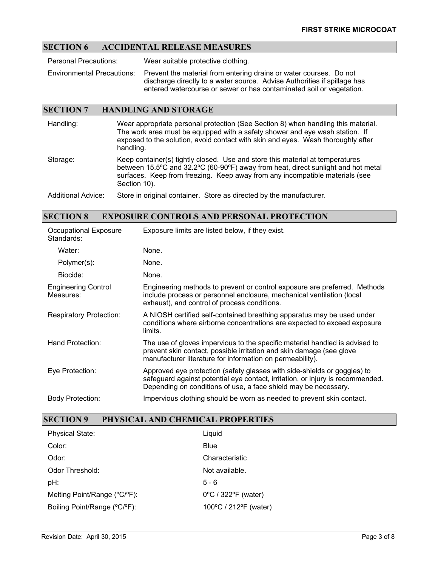### **SECTION 6 ACCIDENTAL RELEASE MEASURES**

Personal Precautions: Wear suitable protective clothing.

Environmental Precautions: Prevent the material from entering drains or water courses. Do not discharge directly to a water source. Advise Authorities if spillage has entered watercourse or sewer or has contaminated soil or vegetation.

#### **SECTION 7 HANDLING AND STORAGE**

Handling: Wear appropriate personal protection (See Section 8) when handling this material. The work area must be equipped with a safety shower and eye wash station. If exposed to the solution, avoid contact with skin and eyes. Wash thoroughly after handling. Storage: Keep container(s) tightly closed. Use and store this material at temperatures

between 15.5ºC and 32.2ºC (60-90ºF) away from heat, direct sunlight and hot metal surfaces. Keep from freezing. Keep away from any incompatible materials (see Section 10).

Additional Advice: Store in original container. Store as directed by the manufacturer.

#### **SECTION 8 EXPOSURE CONTROLS AND PERSONAL PROTECTION**

| Occupational Exposure<br>Standards:     | Exposure limits are listed below, if they exist.                                                                                                                                                                              |
|-----------------------------------------|-------------------------------------------------------------------------------------------------------------------------------------------------------------------------------------------------------------------------------|
| Water:                                  | None.                                                                                                                                                                                                                         |
| Polymer(s):                             | None.                                                                                                                                                                                                                         |
| Biocide:                                | None.                                                                                                                                                                                                                         |
| <b>Engineering Control</b><br>Measures: | Engineering methods to prevent or control exposure are preferred. Methods<br>include process or personnel enclosure, mechanical ventilation (local<br>exhaust), and control of process conditions.                            |
| <b>Respiratory Protection:</b>          | A NIOSH certified self-contained breathing apparatus may be used under<br>conditions where airborne concentrations are expected to exceed exposure<br>limits.                                                                 |
| Hand Protection:                        | The use of gloves impervious to the specific material handled is advised to<br>prevent skin contact, possible irritation and skin damage (see glove<br>manufacturer literature for information on permeability).              |
| Eye Protection:                         | Approved eye protection (safety glasses with side-shields or goggles) to<br>safeguard against potential eye contact, irritation, or injury is recommended.<br>Depending on conditions of use, a face shield may be necessary. |
| <b>Body Protection:</b>                 | Impervious clothing should be worn as needed to prevent skin contact.                                                                                                                                                         |

#### **SECTION 9 PHYSICAL AND CHEMICAL PROPERTIES**

| <b>Physical State:</b>       | Liquid                                   |
|------------------------------|------------------------------------------|
| Color:                       | Blue                                     |
| Odor:                        | Characteristic                           |
| Odor Threshold:              | Not available.                           |
| pH:                          | $5 - 6$                                  |
| Melting Point/Range (°C/°F): | $0^{\circ}$ C / 322 $^{\circ}$ F (water) |
| Boiling Point/Range (°C/°F): | 100°C / 212°F (water)                    |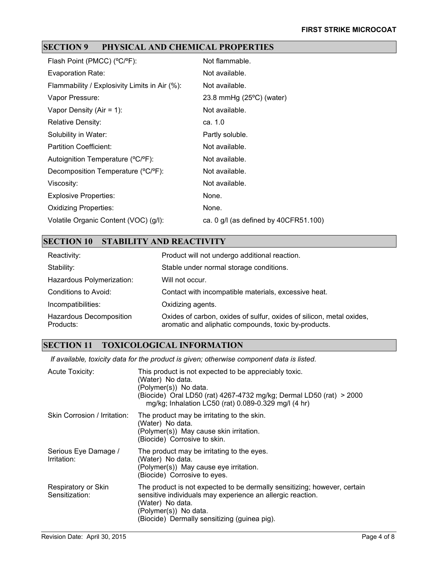# **SECTION 9 PHYSICAL AND CHEMICAL PROPERTIES**

| Flash Point (PMCC) (°C/°F):                   | Not flammable.                          |
|-----------------------------------------------|-----------------------------------------|
| Evaporation Rate:                             | Not available.                          |
| Flammability / Explosivity Limits in Air (%): | Not available.                          |
| Vapor Pressure:                               | 23.8 mmHg (25°C) (water)                |
| Vapor Density (Air = 1):                      | Not available.                          |
| <b>Relative Density:</b>                      | ca. 1.0                                 |
| Solubility in Water:                          | Partly soluble.                         |
| Partition Coefficient:                        | Not available.                          |
| Autoignition Temperature (°C/°F):             | Not available.                          |
| Decomposition Temperature (°C/°F):            | Not available.                          |
| Viscosity:                                    | Not available.                          |
| <b>Explosive Properties:</b>                  | None.                                   |
| <b>Oxidizing Properties:</b>                  | None.                                   |
| Volatile Organic Content (VOC) (g/l):         | ca. 0 $g/l$ (as defined by 40CFR51.100) |
|                                               |                                         |

## **SECTION 10 STABILITY AND REACTIVITY**

| Reactivity:                          | Product will not undergo additional reaction.                                                                                |
|--------------------------------------|------------------------------------------------------------------------------------------------------------------------------|
| Stability:                           | Stable under normal storage conditions.                                                                                      |
| Hazardous Polymerization:            | Will not occur.                                                                                                              |
| Conditions to Avoid:                 | Contact with incompatible materials, excessive heat.                                                                         |
| Incompatibilities:                   | Oxidizing agents.                                                                                                            |
| Hazardous Decomposition<br>Products: | Oxides of carbon, oxides of sulfur, oxides of silicon, metal oxides,<br>aromatic and aliphatic compounds, toxic by-products. |

### **SECTION 11 TOXICOLOGICAL INFORMATION**

*If available, toxicity data for the product is given; otherwise component data is listed.*

| <b>Acute Toxicity:</b>                | This product is not expected to be appreciably toxic.<br>(Water) No data.<br>(Polymer(s)) No data.<br>(Biocide) Oral LD50 (rat) 4267-4732 mg/kg; Dermal LD50 (rat) > 2000<br>mg/kg; Inhalation LC50 (rat) 0.089-0.329 mg/l (4 hr)   |
|---------------------------------------|-------------------------------------------------------------------------------------------------------------------------------------------------------------------------------------------------------------------------------------|
| Skin Corrosion / Irritation:          | The product may be irritating to the skin.<br>(Water) No data.<br>(Polymer(s)) May cause skin irritation.<br>(Biocide) Corrosive to skin.                                                                                           |
| Serious Eye Damage /<br>Irritation:   | The product may be irritating to the eyes.<br>(Water) No data.<br>(Polymer(s)) May cause eye irritation.<br>(Biocide) Corrosive to eyes.                                                                                            |
| Respiratory or Skin<br>Sensitization: | The product is not expected to be dermally sensitizing; however, certain<br>sensitive individuals may experience an allergic reaction.<br>(Water) No data.<br>(Polymer(s)) No data.<br>(Biocide) Dermally sensitizing (guinea pig). |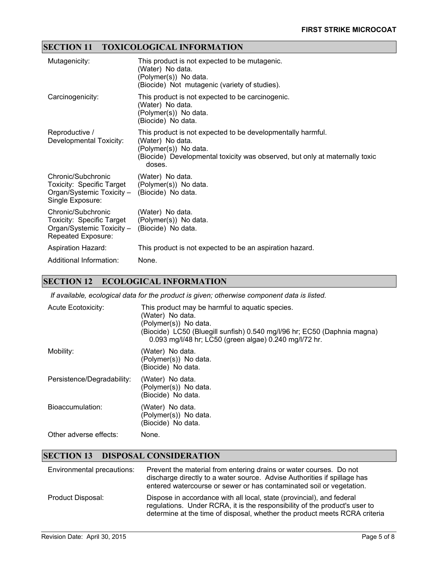# **SECTION 11 TOXICOLOGICAL INFORMATION**

| Mutagenicity:                                                                                                       | This product is not expected to be mutagenic.<br>(Water) No data.<br>(Polymer(s)) No data.<br>(Biocide) Not mutagenic (variety of studies).                                                       |
|---------------------------------------------------------------------------------------------------------------------|---------------------------------------------------------------------------------------------------------------------------------------------------------------------------------------------------|
| Carcinogenicity:                                                                                                    | This product is not expected to be carcinogenic.<br>(Water) No data.<br>(Polymer(s)) No data.<br>(Biocide) No data.                                                                               |
| Reproductive /<br>Developmental Toxicity:                                                                           | This product is not expected to be developmentally harmful.<br>(Water) No data.<br>(Polymer(s)) No data.<br>(Biocide) Developmental toxicity was observed, but only at maternally toxic<br>doses. |
| Chronic/Subchronic<br>Toxicity: Specific Target<br>Organ/Systemic Toxicity - (Biocide) No data.<br>Single Exposure: | (Water) No data.<br>(Polymer(s)) No data.                                                                                                                                                         |
| Chronic/Subchronic<br>Toxicity: Specific Target<br>Organ/Systemic Toxicity -<br>Repeated Exposure:                  | (Water) No data.<br>(Polymer(s)) No data.<br>(Biocide) No data.                                                                                                                                   |
| <b>Aspiration Hazard:</b>                                                                                           | This product is not expected to be an aspiration hazard.                                                                                                                                          |
| Additional Information:                                                                                             | None.                                                                                                                                                                                             |

# **SECTION 12 ECOLOGICAL INFORMATION**

*If available, ecological data for the product is given; otherwise component data is listed.*

| <b>Acute Ecotoxicity:</b>  | This product may be harmful to aquatic species.<br>(Water) No data.<br>(Polymer(s)) No data.<br>(Biocide) LC50 (Bluegill sunfish) 0.540 mg/l/96 hr; EC50 (Daphnia magna)<br>0.093 mg/l/48 hr; LC50 (green algae) 0.240 mg/l/72 hr. |
|----------------------------|------------------------------------------------------------------------------------------------------------------------------------------------------------------------------------------------------------------------------------|
| Mobility:                  | (Water) No data.<br>(Polymer(s)) No data.<br>(Biocide) No data.                                                                                                                                                                    |
| Persistence/Degradability: | (Water) No data.<br>(Polymer(s)) No data.<br>(Biocide) No data.                                                                                                                                                                    |
| Bioaccumulation:           | (Water) No data.<br>(Polymer(s)) No data.<br>(Biocide) No data.                                                                                                                                                                    |
| Other adverse effects:     | None.                                                                                                                                                                                                                              |

# **SECTION 13 DISPOSAL CONSIDERATION**

| Environmental precautions: | Prevent the material from entering drains or water courses. Do not<br>discharge directly to a water source. Advise Authorities if spillage has<br>entered watercourse or sewer or has contaminated soil or vegetation.            |
|----------------------------|-----------------------------------------------------------------------------------------------------------------------------------------------------------------------------------------------------------------------------------|
| Product Disposal:          | Dispose in accordance with all local, state (provincial), and federal<br>regulations. Under RCRA, it is the responsibility of the product's user to<br>determine at the time of disposal, whether the product meets RCRA criteria |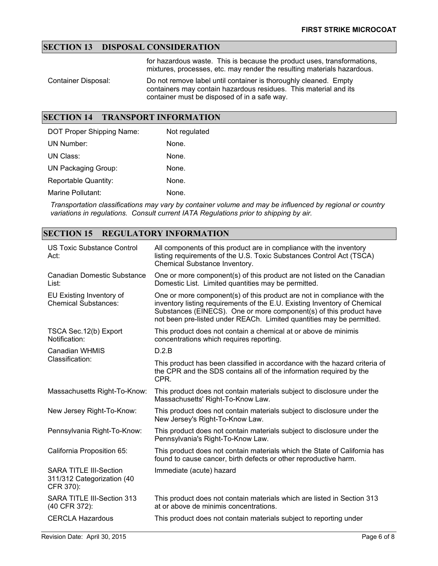# **SECTION 13 DISPOSAL CONSIDERATION**

for hazardous waste. This is because the product uses, transformations, mixtures, processes, etc. may render the resulting materials hazardous.

Container Disposal: Do not remove label until container is thoroughly cleaned. Empty containers may contain hazardous residues. This material and its container must be disposed of in a safe way.

#### **SECTION 14 TRANSPORT INFORMATION**

| DOT Proper Shipping Name:  | Not regulated |
|----------------------------|---------------|
| UN Number:                 | None.         |
| UN Class:                  | None.         |
| <b>UN Packaging Group:</b> | None.         |
| Reportable Quantity:       | None.         |
| Marine Pollutant:          | None.         |

*Transportation classifications may vary by container volume and may be influenced by regional or country variations in regulations. Consult current IATA Regulations prior to shipping by air.*

## **SECTION 15 REGULATORY INFORMATION**

| US Toxic Substance Control<br>Act:                                       | All components of this product are in compliance with the inventory<br>listing requirements of the U.S. Toxic Substances Control Act (TSCA)<br>Chemical Substance Inventory.                                                                                                                        |  |
|--------------------------------------------------------------------------|-----------------------------------------------------------------------------------------------------------------------------------------------------------------------------------------------------------------------------------------------------------------------------------------------------|--|
| <b>Canadian Domestic Substance</b><br>List:                              | One or more component(s) of this product are not listed on the Canadian<br>Domestic List. Limited quantities may be permitted.                                                                                                                                                                      |  |
| EU Existing Inventory of<br><b>Chemical Substances:</b>                  | One or more component(s) of this product are not in compliance with the<br>inventory listing requirements of the E.U. Existing Inventory of Chemical<br>Substances (EINECS). One or more component(s) of this product have<br>not been pre-listed under REACh. Limited quantities may be permitted. |  |
| TSCA Sec. 12(b) Export<br>Notification:                                  | This product does not contain a chemical at or above de minimis<br>concentrations which requires reporting.                                                                                                                                                                                         |  |
| <b>Canadian WHMIS</b><br>Classification:                                 | D.2.B                                                                                                                                                                                                                                                                                               |  |
|                                                                          | This product has been classified in accordance with the hazard criteria of<br>the CPR and the SDS contains all of the information required by the<br>CPR.                                                                                                                                           |  |
| Massachusetts Right-To-Know:                                             | This product does not contain materials subject to disclosure under the<br>Massachusetts' Right-To-Know Law.                                                                                                                                                                                        |  |
| New Jersey Right-To-Know:                                                | This product does not contain materials subject to disclosure under the<br>New Jersey's Right-To-Know Law.                                                                                                                                                                                          |  |
| Pennsylvania Right-To-Know:                                              | This product does not contain materials subject to disclosure under the<br>Pennsylvania's Right-To-Know Law.                                                                                                                                                                                        |  |
| California Proposition 65:                                               | This product does not contain materials which the State of California has<br>found to cause cancer, birth defects or other reproductive harm.                                                                                                                                                       |  |
| <b>SARA TITLE III-Section</b><br>311/312 Categorization (40<br>CFR 370): | Immediate (acute) hazard                                                                                                                                                                                                                                                                            |  |
| SARA TITLE III-Section 313<br>(40 CFR 372):                              | This product does not contain materials which are listed in Section 313<br>at or above de minimis concentrations.                                                                                                                                                                                   |  |
| <b>CERCLA Hazardous</b>                                                  | This product does not contain materials subject to reporting under                                                                                                                                                                                                                                  |  |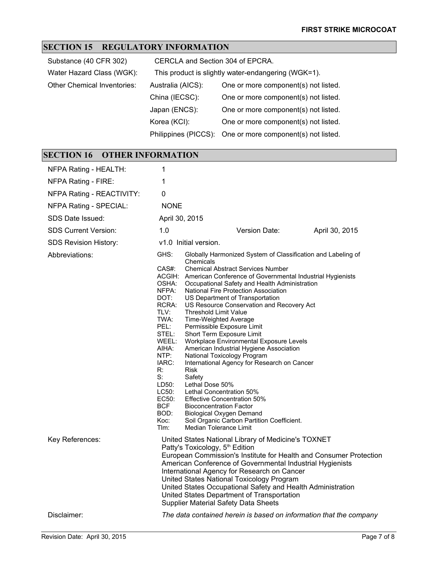### **SECTION 15 REGULATORY INFORMATION**

| CERCLA and Section 304 of EPCRA.                    |                                                           |  |
|-----------------------------------------------------|-----------------------------------------------------------|--|
| This product is slightly water-endangering (WGK=1). |                                                           |  |
| Australia (AICS):                                   | One or more component(s) not listed.                      |  |
| China (IECSC):                                      | One or more component(s) not listed.                      |  |
| Japan (ENCS):                                       | One or more component(s) not listed.                      |  |
| Korea (KCI):                                        | One or more component(s) not listed.                      |  |
|                                                     | Philippines (PICCS): One or more component(s) not listed. |  |
|                                                     |                                                           |  |

#### **SECTION 16 OTHER INFORMATION** NFPA Rating - HEALTH: 1 NFPA Rating - FIRE: 1 NFPA Rating - REACTIVITY: 0 NFPA Rating - SPECIAL: NONE SDS Date Issued: April 30, 2015 SDS Current Version: 1.0 Version Date: April 30, 2015 SDS Revision History: v1.0 Initial version. Abbreviations: GHS: Globally Harmonized System of Classification and Labeling of **Chemicals** CAS#: Chemical Abstract Services Number ACGIH: American Conference of Governmental Industrial Hygienists OSHA: Occupational Safety and Health Administration<br>NFPA: National Fire Protection Association National Fire Protection Association DOT: US Department of Transportation<br>RCRA: US Resource Conservation and R US Resource Conservation and Recovery Act TLV: Threshold Limit Value<br>TWA: Time-Weighted Avera TWA: Time-Weighted Average<br>PEL: Permissible Exposure Lir PEL: Permissible Exposure Limit<br>STEL: Short Term Exposure Limit STEL: Short Term Exposure Limit<br>WEEL: Workplace Environmental E WEEL: Workplace Environmental Exposure Levels<br>AIHA: American Industrial Hygiene Association AIHA: American Industrial Hygiene Association NTP: National Toxicology Program<br>IARC: International Agency for Rese International Agency for Research on Cancer R: Risk S: Safety<br>LD50: Lethal Lethal Dose 50% LC50: Lethal Concentration 50% EC50: Effective Concentration 50% BCF Bioconcentration Factor<br>BOD: Biological Oxygen Dema Biological Oxygen Demand Koc: Soil Organic Carbon Partition Coefficient.<br>Tlm: Median Tolerance Limit Median Tolerance Limit Key References: United States National Library of Medicine's TOXNET Patty's Toxicology, 5<sup>th</sup> Edition European Commission's Institute for Health and Consumer Protection American Conference of Governmental Industrial Hygienists International Agency for Research on Cancer United States National Toxicology Program

Disclaimer: *The data contained herein is based on information that the company* 

United States Occupational Safety and Health Administration

United States Department of Transportation Supplier Material Safety Data Sheets